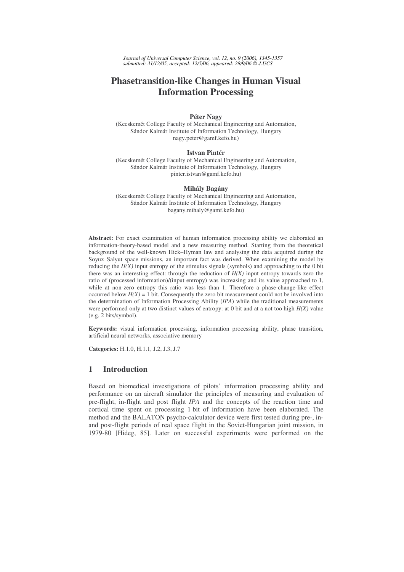*Journal of Universal Computer Science, vol. 12, no. 9 (2006), 1345-1357 submitted: 31/12/05, accepted: 12/5/06, appeared: 28/9/06 J.UCS*

# **Phasetransition-like Changes in Human Visual Information Processing**

#### **Péter Nagy**

(Kecskemét College Faculty of Mechanical Engineering and Automation, Sándor Kalmár Institute of Information Technology, Hungary nagy.peter@gamf.kefo.hu)

#### **Istvan Pintér**

(Kecskemét College Faculty of Mechanical Engineering and Automation, Sándor Kalmár Institute of Information Technology, Hungary pinter.istvan@gamf.kefo.hu)

#### **Mihály Bagány**

(Kecskemét College Faculty of Mechanical Engineering and Automation, Sándor Kalmár Institute of Information Technology, Hungary bagany.mihaly@gamf.kefo.hu)

**Abstract:** For exact examination of human information processing ability we elaborated an information-theory-based model and a new measuring method. Starting from the theoretical background of the well-known Hick–Hyman law and analysing the data acquired during the Soyuz–Salyut space missions, an important fact was derived. When examining the model by reducing the  $H(X)$  input entropy of the stimulus signals (symbols) and approaching to the 0 bit there was an interesting effect: through the reduction of  $H(X)$  input entropy towards zero the ratio of (processed information)/(input entropy) was increasing and its value approached to 1, while at non-zero entropy this ratio was less than 1. Therefore a phase-change-like effect occurred below  $H(X) = 1$  bit. Consequently the zero bit measurement could not be involved into the determination of Information Processing Ability (*IPA*) while the traditional measurements were performed only at two distinct values of entropy: at 0 bit and at a not too high *H(X)* value (e.g. 2 bits/symbol).

**Keywords:** visual information processing, information processing ability, phase transition, artificial neural networks, associative memory

**Categories:** H.1.0, H.1.1, J.2, J.3, J.7

### **1 Introduction**

Based on biomedical investigations of pilots' information processing ability and performance on an aircraft simulator the principles of measuring and evaluation of pre-flight, in-flight and post flight *IPA* and the concepts of the reaction time and cortical time spent on processing 1 bit of information have been elaborated. The method and the BALATON psycho-calculator device were first tested during pre-, inand post-flight periods of real space flight in the Soviet-Hungarian joint mission, in 1979-80 [Hideg, 85]. Later on successful experiments were performed on the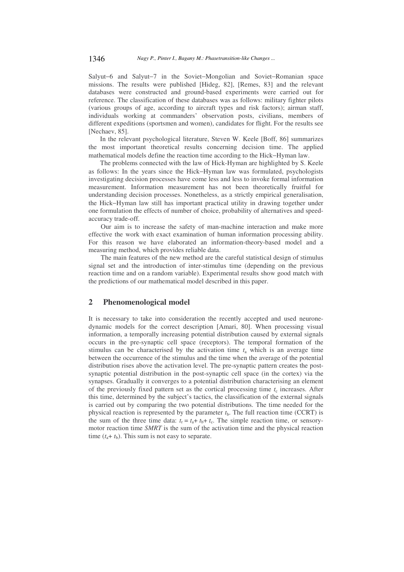Salyut−6 and Salyut−7 in the Soviet−Mongolian and Soviet−Romanian space missions. The results were published [Hideg, 82], [Remes, 83] and the relevant databases were constructed and ground-based experiments were carried out for reference. The classification of these databases was as follows: military fighter pilots (various groups of age, according to aircraft types and risk factors); airman staff, individuals working at commanders' observation posts, civilians, members of different expeditions (sportsmen and women), candidates for flight. For the results see [Nechaev, 85].

In the relevant psychological literature, Steven W. Keele [Boff, 86] summarizes the most important theoretical results concerning decision time. The applied mathematical models define the reaction time according to the Hick−Hyman law.

The problems connected with the law of Hick-Hyman are highlighted by S. Keele as follows: In the years since the Hick−Hyman law was formulated, psychologists investigating decision processes have come less and less to invoke formal information measurement. Information measurement has not been theoretically fruitful for understanding decision processes. Nonetheless, as a strictly empirical generalisation, the Hick−Hyman law still has important practical utility in drawing together under one formulation the effects of number of choice, probability of alternatives and speedaccuracy trade-off.

Our aim is to increase the safety of man-machine interaction and make more effective the work with exact examination of human information processing ability. For this reason we have elaborated an information-theory-based model and a measuring method, which provides reliable data.

The main features of the new method are the careful statistical design of stimulus signal set and the introduction of inter-stimulus time (depending on the previous reaction time and on a random variable). Experimental results show good match with the predictions of our mathematical model described in this paper.

## **2 Phenomenological model**

It is necessary to take into consideration the recently accepted and used neuronedynamic models for the correct description [Amari, 80]. When processing visual information, a temporally increasing potential distribution caused by external signals occurs in the pre-synaptic cell space (receptors). The temporal formation of the stimulus can be characterised by the activation time  $t_a$  which is an average time between the occurrence of the stimulus and the time when the average of the potential distribution rises above the activation level. The pre-synaptic pattern creates the postsynaptic potential distribution in the post-synaptic cell space (in the cortex) via the synapses. Gradually it converges to a potential distribution characterising an element of the previously fixed pattern set as the cortical processing time  $t_c$  increases. After this time, determined by the subject's tactics, the classification of the external signals is carried out by comparing the two potential distributions. The time needed for the physical reaction is represented by the parameter  $t<sub>b</sub>$ . The full reaction time (CCRT) is the sum of the three time data:  $t_r = t_a + t_b + t_c$ . The simple reaction time, or sensorymotor reaction time *SMRT* is the sum of the activation time and the physical reaction time  $(t_a + t_b)$ . This sum is not easy to separate.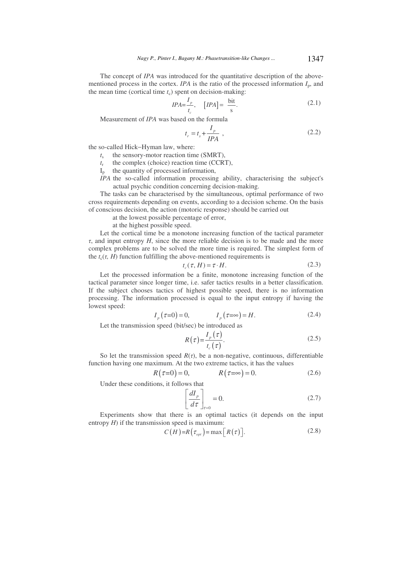The concept of *IPA* was introduced for the quantitative description of the abovementioned process in the cortex. *IPA* is the ratio of the processed information  $I_p$ , and the mean time (cortical time  $t_c$ ) spent on decision-making:

$$
IPA = \frac{I_p}{t_c}, \quad [IPA] = \frac{\text{bit}}{\text{s}}.
$$
\n(2.1)

Measurement of *IPA* was based on the formula

$$
t_r = t_s + \frac{I_p}{IPA} \t\t(2.2)
$$

the so-called Hick−Hyman law, where:

- $t<sub>s</sub>$ the sensory-motor reaction time (SMRT),
- *t*r the complex (choice) reaction time (CCRT),
- $I_n$  the quantity of processed information,
- *IPA* the so-called information processing ability, characterising the subject's actual psychic condition concerning decision-making.

The tasks can be characterised by the simultaneous, optimal performance of two cross requirements depending on events, according to a decision scheme. On the basis of conscious decision, the action (motoric response) should be carried out

at the lowest possible percentage of error,

at the highest possible speed.

Let the cortical time be a monotone increasing function of the tactical parameter  $\tau$ , and input entropy  $H$ , since the more reliable decision is to be made and the more complex problems are to be solved the more time is required. The simplest form of the  $t_c(\tau, H)$  function fulfilling the above-mentioned requirements is

$$
t_c(\tau, H) = \tau \cdot H. \tag{2.3}
$$

Let the processed information be a finite, monotone increasing function of the tactical parameter since longer time, i.e. safer tactics results in a better classification. If the subject chooses tactics of highest possible speed, there is no information processing. The information processed is equal to the input entropy if having the lowest speed:

$$
I_p(\tau=0)=0, \qquad I_p(\tau=\infty)=H. \tag{2.4}
$$

Let the transmission speed (bit/sec) be introduced as

$$
R(\tau) = \frac{I_p(\tau)}{t_c(\tau)}.
$$
\n(2.5)

So let the transmission speed  $R(\tau)$ , be a non-negative, continuous, differentiable function having one maximum. At the two extreme tactics, it has the values

$$
R(\tau=0) = 0, \qquad R(\tau=\infty) = 0. \tag{2.6}
$$

Under these conditions, it follows that

$$
\left[\frac{dI_p}{d\tau}\right]_{\tau=0} = 0.\tag{2.7}
$$

Experiments show that there is an optimal tactics (it depends on the input entropy  $H$ ) if the transmission speed is maximum:

$$
C(H)=R(\tau_{opt})=\max[R(\tau)].
$$
\n(2.8)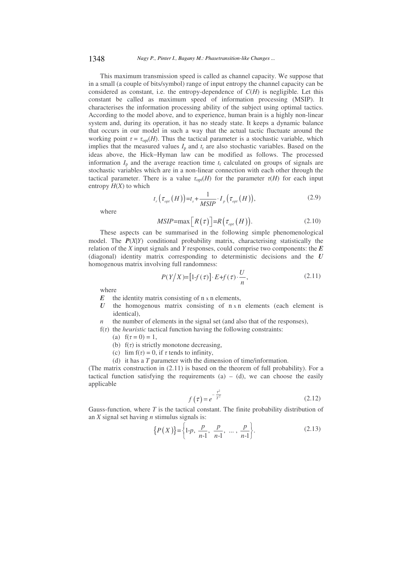This maximum transmission speed is called as channel capacity. We suppose that in a small (a couple of bits/symbol) range of input entropy the channel capacity can be considered as constant, i.e. the entropy-dependence of  $C(H)$  is negligible. Let this constant be called as maximum speed of information processing (MSIP). It characterises the information processing ability of the subject using optimal tactics. According to the model above, and to experience, human brain is a highly non-linear system and, during its operation, it has no steady state. It keeps a dynamic balance that occurs in our model in such a way that the actual tactic fluctuate around the working point  $\tau = \tau_{\text{opt}}(H)$ . Thus the tactical parameter is a stochastic variable, which implies that the measured values  $I_p$  and  $t_r$  are also stochastic variables. Based on the ideas above, the Hick−Hyman law can be modified as follows. The processed information  $I<sub>p</sub>$  and the average reaction time  $t<sub>r</sub>$  calculated on groups of signals are stochastic variables which are in a non-linear connection with each other through the tactical parameter. There is a value  $\tau_{opt}(H)$  for the parameter  $\tau(H)$  for each input entropy  $H(X)$  to which

$$
t_r\left(\tau_{opt}\left(H\right)\right)=t_s+\frac{1}{MSIP}\cdot I_p\left(\tau_{opt}\left(H\right)\right),\tag{2.9}
$$

where

$$
MSIP = \max[R(\tau)] = R(\tau_{opt}(H)). \tag{2.10}
$$

These aspects can be summarised in the following simple phenomenological model. The *P*(*X*|*Y*) conditional probability matrix, characterising statistically the relation of the *X* input signals and *Y* responses, could comprise two components: the *E* (diagonal) identity matrix corresponding to deterministic decisions and the *U* homogenous matrix involving full randomness:

$$
P(Y|X) = [1-f(\tau)] \cdot E + f(\tau) \cdot \frac{U}{n},\tag{2.11}
$$

where

- $E$  the identity matrix consisting of  $n \times n$  elements,
- $U$  the homogenous matrix consisting of  $n \times n$  elements (each element is identical),
- *n* the number of elements in the signal set (and also that of the responses),
- $f(\tau)$  the *heuristic* tactical function having the following constraints:
	- (a)  $f(\tau = 0) = 1$ ,
	- (b)  $f(\tau)$  is strictly monotone decreasing,
	- (c)  $\lim_{t \to \infty} f(\tau) = 0$ , if  $\tau$  tends to infinity,
	- (d) it has a *T* parameter with the dimension of time/information.

(The matrix construction in (2.11) is based on the theorem of full probability). For a tactical function satisfying the requirements  $(a) - (d)$ , we can choose the easily applicable

$$
f\left(\tau\right) = e^{-\frac{\tau^2}{T^2}}\tag{2.12}
$$

Gauss-function, where *T* is the tactical constant. The finite probability distribution of an *X* signal set having *n* stimulus signals is:

$$
\{P(X)\} = \left\{1-p, \frac{p}{n-1}, \frac{p}{n-1}, \dots, \frac{p}{n-1}\right\}.
$$
 (2.13)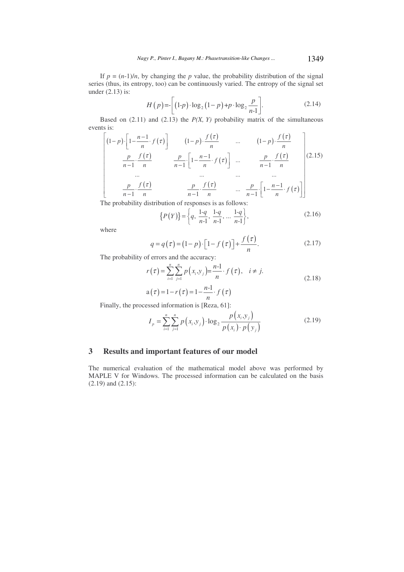If  $p = (n-1)/n$ , by changing the *p* value, the probability distribution of the signal series (thus, its entropy, too) can be continuously varied. The entropy of the signal set under (2.13) is:

$$
H(p) = \left[ (1-p) \cdot \log_2 \left(1-p\right) + p \cdot \log_2 \frac{p}{n-1} \right]. \tag{2.14}
$$

Based on  $(2.11)$  and  $(2.13)$  the  $P(X, Y)$  probability matrix of the simultaneous events is:

$$
\left[\n\begin{array}{ccc}\n(1-p)\left[1-\frac{n-1}{n}\cdot f(\tau)\right] & (1-p)\cdot \frac{f(\tau)}{n} & \dots & (1-p)\cdot \frac{f(\tau)}{n} \\
\frac{p}{n-1}\cdot \frac{f(\tau)}{n} & \frac{p}{n-1}\cdot \left[1-\frac{n-1}{n}\cdot f(\tau)\right] & \dots & \frac{p}{n-1}\cdot \frac{f(\tau)}{n} \\
\vdots & \vdots & \ddots & \vdots & \vdots \\
\frac{p}{n-1}\cdot \frac{f(\tau)}{n} & \frac{p}{n-1}\cdot \frac{f(\tau)}{n} & \dots & \frac{p}{n-1}\cdot \left[1-\frac{n-1}{n}\cdot f(\tau)\right]\n\end{array}\n\right]\n\tag{2.15}
$$

The probability distribution of responses is as follows:

$$
\{P(Y)\} = \left\{q, \frac{1-q}{n-1}, \frac{1-q}{n-1}, \dots \frac{1-q}{n-1}\right\},\tag{2.16}
$$

where

$$
q = q(\tau) = (1 - p) \cdot \left[1 - f(\tau)\right] + \frac{f(\tau)}{n}.
$$
\n(2.17)

The probability of errors and the accuracy:

$$
r(\tau) = \sum_{i=1}^{n} \sum_{j=1}^{n} p(x_i, y_j) = \frac{n-1}{n} \cdot f(\tau), \quad i \neq j.
$$
\n
$$
c(\tau) = 1 - r(\tau) = 1 - \frac{n-1}{n} \cdot f(\tau).
$$
\n(2.18)

$$
a(\tau) = 1 - r(\tau) = 1 - \frac{n-1}{n} \cdot f(\tau)
$$

Finally, the processed information is [Reza, 61]:

$$
I_{p} = \sum_{i=1}^{n} \sum_{j=1}^{n} p(x_{i}, y_{j}) \cdot \log_{2} \frac{p(x_{i}, y_{j})}{p(x_{i}) \cdot p(y_{j})}
$$
(2.19)

### **3 Results and important features of our model**

The numerical evaluation of the mathematical model above was performed by MAPLE V for Windows. The processed information can be calculated on the basis (2.19) and (2.15):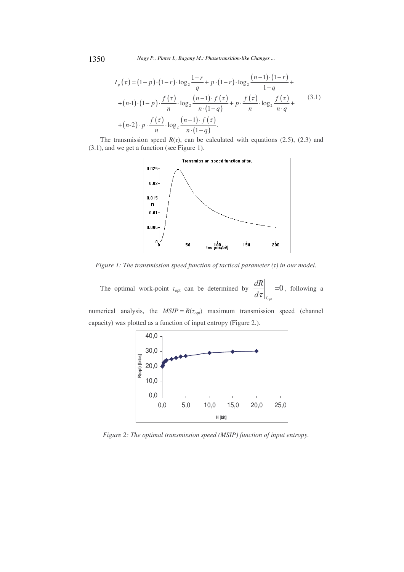1350 *Nagy P., Pinter I., Bagany M.: Phasetransition-like Changes ...*

$$
I_{p}(\tau) = (1-p) \cdot (1-r) \cdot \log_{2} \frac{1-r}{q} + p \cdot (1-r) \cdot \log_{2} \frac{(n-1) \cdot (1-r)}{1-q} +
$$
  
+
$$
(n-1) \cdot (1-p) \cdot \frac{f(\tau)}{n} \cdot \log_{2} \frac{(n-1) \cdot f(\tau)}{n \cdot (1-q)} + p \cdot \frac{f(\tau)}{n} \cdot \log_{2} \frac{f(\tau)}{n \cdot q} +
$$
  
+
$$
(n-2) \cdot p \cdot \frac{f(\tau)}{n} \cdot \log_{2} \frac{(n-1) \cdot f(\tau)}{n \cdot (1-q)}.
$$
 (3.1)

The transmission speed  $R(\tau)$ , can be calculated with equations (2.5), (2.3) and (3.1), and we get a function (see Figure 1).



*Figure 1: The transmission speed function of tactical parameter () in our model.*

The optimal work-point  $\tau_{opt}$  can be determined by  $\frac{d\mathbf{r}}{dt}$  =0 *opt dR*  $\left. \frac{d\tau}{d\tau} \right|_{\tau_{\text{max}}} = 0$ , following a

numerical analysis, the  $MSIP = R(\tau_{opt})$  maximum transmission speed (channel capacity) was plotted as a function of input entropy (Figure 2.).



*Figure 2: The optimal transmission speed (MSIP) function of input entropy.*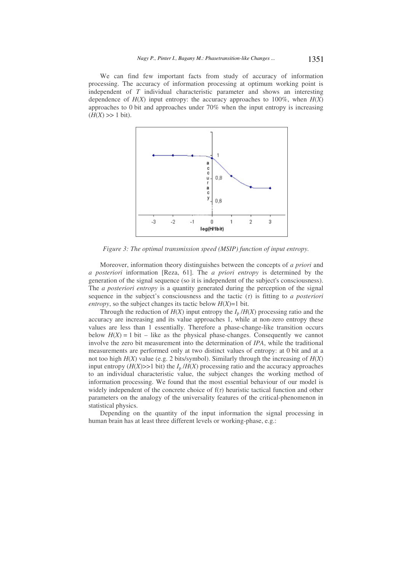We can find few important facts from study of accuracy of information processing. The accuracy of information processing at optimum working point is independent of *T* individual characteristic parameter and shows an interesting dependence of  $H(X)$  input entropy: the accuracy approaches to 100%, when  $H(X)$ approaches to 0 bit and approaches under 70% when the input entropy is increasing  $(H(X) \gg 1$  bit).



*Figure 3: The optimal transmission speed (MSIP) function of input entropy.*

Moreover, information theory distinguishes between the concepts of *a priori* and *a posteriori* information [Reza, 61]. The *a priori entropy* is determined by the generation of the signal sequence (so it is independent of the subject's consciousness). The *a posteriori entropy* is a quantity generated during the perception of the signal sequence in the subject's consciousness and the tactic  $(7)$  is fitting to *a posteriori entropy*, so the subject changes its tactic below  $H(X)=1$  bit.

Through the reduction of  $H(X)$  input entropy the  $I_p/H(X)$  processing ratio and the accuracy are increasing and its value approaches 1, while at non-zero entropy these values are less than 1 essentially. Therefore a phase-change-like transition occurs below  $H(X) = 1$  bit – like as the physical phase-changes. Consequently we cannot involve the zero bit measurement into the determination of *IPA*, while the traditional measurements are performed only at two distinct values of entropy: at 0 bit and at a not too high  $H(X)$  value (e.g. 2 bits/symbol). Similarly through the increasing of  $H(X)$ input entropy  $(H(X) \gg 1$  bit) the  $I_p/H(X)$  processing ratio and the accuracy approaches to an individual characteristic value, the subject changes the working method of information processing. We found that the most essential behaviour of our model is widely independent of the concrete choice of  $f(\tau)$  heuristic tactical function and other parameters on the analogy of the universality features of the critical-phenomenon in statistical physics.

Depending on the quantity of the input information the signal processing in human brain has at least three different levels or working-phase, e.g.: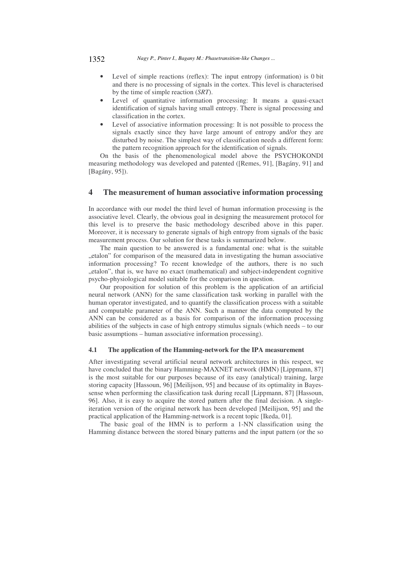1352 *Nagy P., Pinter I., Bagany M.: Phasetransition-like Changes ...*

- Level of simple reactions (reflex): The input entropy (information) is 0 bit and there is no processing of signals in the cortex. This level is characterised by the time of simple reaction (*SRT*).
- Level of quantitative information processing: It means a quasi-exact identification of signals having small entropy. There is signal processing and classification in the cortex.
- Level of associative information processing: It is not possible to process the signals exactly since they have large amount of entropy and/or they are disturbed by noise. The simplest way of classification needs a different form: the pattern recognition approach for the identification of signals.

On the basis of the phenomenological model above the PSYCHOKONDI measuring methodology was developed and patented ([Remes, 91], [Bagány, 91] and [Bagány, 95]).

### **4 The measurement of human associative information processing**

In accordance with our model the third level of human information processing is the associative level. Clearly, the obvious goal in designing the measurement protocol for this level is to preserve the basic methodology described above in this paper. Moreover, it is necessary to generate signals of high entropy from signals of the basic measurement process. Our solution for these tasks is summarized below.

The main question to be answered is a fundamental one: what is the suitable "etalon" for comparison of the measured data in investigating the human associative information processing? To recent knowledge of the authors, there is no such "etalon", that is, we have no exact (mathematical) and subject-independent cognitive psycho-physiological model suitable for the comparison in question.

Our proposition for solution of this problem is the application of an artificial neural network (ANN) for the same classification task working in parallel with the human operator investigated, and to quantify the classification process with a suitable and computable parameter of the ANN. Such a manner the data computed by the ANN can be considered as a basis for comparison of the information processing abilities of the subjects in case of high entropy stimulus signals (which needs – to our basic assumptions – human associative information processing).

#### **4.1 The application of the Hamming-network for the IPA measurement**

After investigating several artificial neural network architectures in this respect, we have concluded that the binary Hamming-MAXNET network (HMN) [Lippmann, 87] is the most suitable for our purposes because of its easy (analytical) training, large storing capacity [Hassoun, 96] [Meilijson, 95] and because of its optimality in Bayessense when performing the classification task during recall [Lippmann, 87] [Hassoun, 96]. Also, it is easy to acquire the stored pattern after the final decision. A singleiteration version of the original network has been developed [Meilijson, 95] and the practical application of the Hamming-network is a recent topic [Ikeda, 01].

The basic goal of the HMN is to perform a 1-NN classification using the Hamming distance between the stored binary patterns and the input pattern (or the so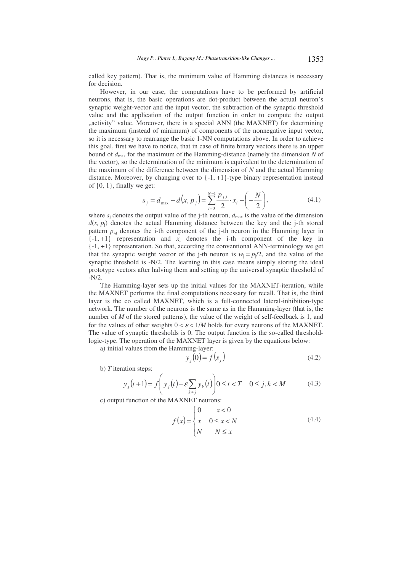called key pattern). That is, the minimum value of Hamming distances is necessary for decision.

However, in our case, the computations have to be performed by artificial neurons, that is, the basic operations are dot-product between the actual neuron's synaptic weight-vector and the input vector, the subtraction of the synaptic threshold value and the application of the output function in order to compute the output ..activity" value. Moreover, there is a special ANN (the MAXNET) for determining the maximum (instead of minimum) of components of the nonnegative input vector, so it is necessary to rearrange the basic 1-NN computations above. In order to achieve this goal, first we have to notice, that in case of finite binary vectors there is an upper bound of  $d_{\text{max}}$  for the maximum of the Hamming-distance (namely the dimension N of the vector), so the determination of the minimum is equivalent to the determination of the maximum of the difference between the dimension of *N* and the actual Hamming distance. Moreover, by changing over to  $\{-1, +1\}$ -type binary representation instead of  $\{0, 1\}$ , finally we get:

$$
s_j = d_{\max} - d(x, p_j) = \sum_{i=0}^{N-1} \frac{p_{j,i}}{2} \cdot x_i - \left(-\frac{N}{2}\right),\tag{4.1}
$$

where  $s_i$  denotes the output value of the j-th neuron,  $d_{\text{max}}$  is the value of the dimension  $d(x, p_i)$  denotes the actual Hamming distance between the key and the j-th stored pattern  $p_{i,j}$  denotes the i-th component of the j-th neuron in the Hamming layer in  $\{-1, +1\}$  representation and  $x_i$  denotes the i-th component of the key in {-1, +1} representation. So that, according the conventional ANN-terminology we get that the synaptic weight vector of the j-th neuron is  $w_j = p_j/2$ , and the value of the synaptic threshold is -N/2. The learning in this case means simply storing the ideal prototype vectors after halving them and setting up the universal synaptic threshold of -N/2.

The Hamming-layer sets up the initial values for the MAXNET-iteration, while the MAXNET performs the final computations necessary for recall. That is, the third layer is the co called MAXNET, which is a full-connected lateral-inhibition-type network. The number of the neurons is the same as in the Hamming-layer (that is, the number of *M* of the stored patterns), the value of the weight of self-feedback is 1, and for the values of other weights  $0 < \varepsilon < 1/M$  holds for every neurons of the MAXNET. The value of synaptic thresholds is 0. The output function is the so-called thresholdlogic-type. The operation of the MAXNET layer is given by the equations below:

a) initial values from the Hamming-layer:

$$
y_j(0) = f(s_j)
$$
\n<sup>(4.2)</sup>

b) *T* iteration steps:

$$
y_j(t+1) = f\left(y_j(t) - \varepsilon \sum_{k \neq j} y_k(t)\right) 0 \le t < T \quad 0 \le j, k < M \tag{4.3}
$$

c) output function of the MAXNET neurons:

$$
f(x) = \begin{cases} 0 & x < 0 \\ x & 0 \le x < N \\ N & N \le x \end{cases} \tag{4.4}
$$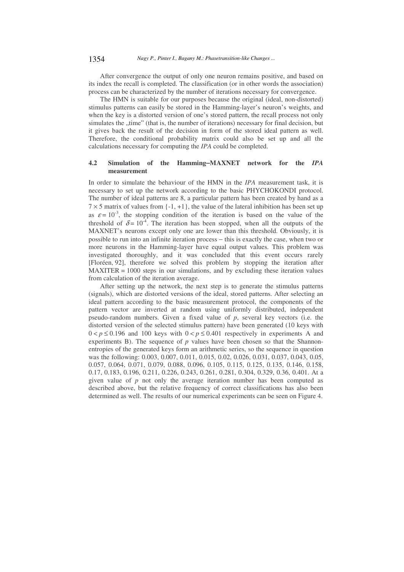After convergence the output of only one neuron remains positive, and based on its index the recall is completed. The classification (or in other words the association) process can be characterized by the number of iterations necessary for convergence.

The HMN is suitable for our purposes because the original (ideal, non-distorted) stimulus patterns can easily be stored in the Hamming-layer's neuron's weights, and when the key is a distorted version of one's stored pattern, the recall process not only simulates the "time" (that is, the number of iterations) necessary for final decision, but it gives back the result of the decision in form of the stored ideal pattern as well. Therefore, the conditional probability matrix could also be set up and all the calculations necessary for computing the *IPA* could be completed.

#### **4.2 Simulation of the Hamming**−**MAXNET network for the** *IPA* **measurement**

In order to simulate the behaviour of the HMN in the *IPA* measurement task, it is necessary to set up the network according to the basic PHYCHOKONDI protocol. The number of ideal patterns are 8, a particular pattern has been created by hand as a  $7 \times 5$  matrix of values from  $\{-1, +1\}$ , the value of the lateral inhibition has been set up as  $\varepsilon = 10^{-3}$ , the stopping condition of the iteration is based on the value of the threshold of  $\delta = 10^{-4}$ . The iteration has been stopped, when all the outputs of the MAXNET's neurons except only one are lower than this threshold. Obviously, it is possible to run into an infinite iteration process − this is exactly the case, when two or more neurons in the Hamming-layer have equal output values. This problem was investigated thoroughly, and it was concluded that this event occurs rarely [Floréen, 92], therefore we solved this problem by stopping the iteration after  $MAXITER = 1000$  steps in our simulations, and by excluding these iteration values from calculation of the iteration average.

After setting up the network, the next step is to generate the stimulus patterns (signals), which are distorted versions of the ideal, stored patterns. After selecting an ideal pattern according to the basic measurement protocol, the components of the pattern vector are inverted at random using uniformly distributed, independent pseudo-random numbers. Given a fixed value of *p*, several key vectors (i.e. the distorted version of the selected stimulus pattern) have been generated (10 keys with  $0 < p \le 0.196$  and 100 keys with  $0 < p \le 0.401$  respectively in experiments A and experiments B). The sequence of  $p$  values have been chosen so that the Shannonentropies of the generated keys form an arithmetic series, so the sequence in question was the following: 0.003, 0.007, 0.011, 0.015, 0.02, 0.026, 0.031, 0.037, 0.043, 0.05, 0.057, 0.064, 0.071, 0.079, 0.088, 0.096, 0.105, 0.115, 0.125, 0.135, 0.146, 0.158, 0.17, 0.183, 0.196, 0.211, 0.226, 0.243, 0.261, 0.281, 0.304, 0.329, 0.36, 0.401. At a given value of *p* not only the average iteration number has been computed as described above, but the relative frequency of correct classifications has also been determined as well. The results of our numerical experiments can be seen on Figure 4.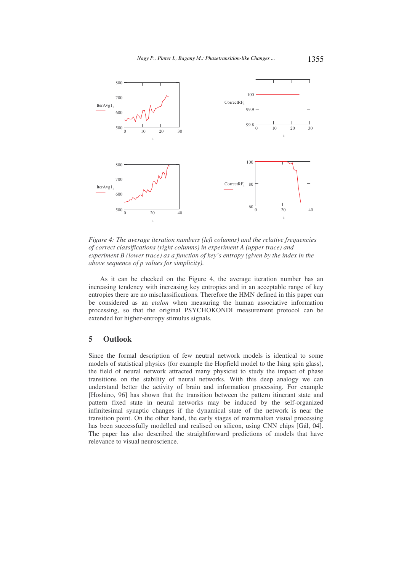

*Figure 4: The average iteration numbers (left columns) and the relative frequencies of correct classifications (right columns) in experiment A (upper trace) and experiment B (lower trace) as a function of key's entropy (given by the index in the above sequence of p values for simplicity).*

As it can be checked on the Figure 4, the average iteration number has an increasing tendency with increasing key entropies and in an acceptable range of key entropies there are no misclassifications. Therefore the HMN defined in this paper can be considered as an *etalon* when measuring the human associative information processing, so that the original PSYCHOKONDI measurement protocol can be extended for higher-entropy stimulus signals.

# **5 Outlook**

Since the formal description of few neutral network models is identical to some models of statistical physics (for example the Hopfield model to the Ising spin glass), the field of neural network attracted many physicist to study the impact of phase transitions on the stability of neural networks. With this deep analogy we can understand better the activity of brain and information processing. For example [Hoshino, 96] has shown that the transition between the pattern itinerant state and pattern fixed state in neural networks may be induced by the self-organized infinitesimal synaptic changes if the dynamical state of the network is near the transition point. On the other hand, the early stages of mammalian visual processing has been successfully modelled and realised on silicon, using CNN chips [Gál, 04]. The paper has also described the straightforward predictions of models that have relevance to visual neuroscience.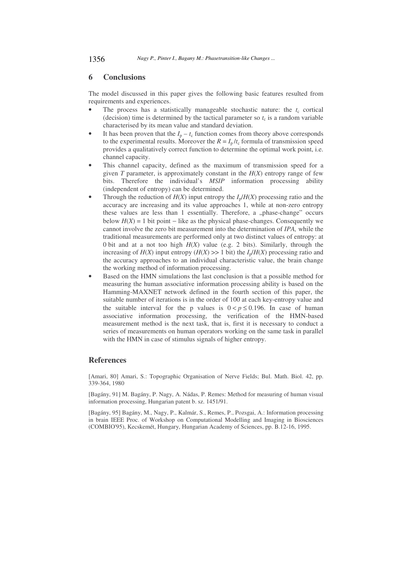### **6 Conclusions**

The model discussed in this paper gives the following basic features resulted from requirements and experiences.

- The process has a statistically manageable stochastic nature: the  $t_c$  cortical (decision) time is determined by the tactical parameter so  $t_c$  is a random variable characterised by its mean value and standard deviation.
- It has been proven that the  $I_p t_c$  function comes from theory above corresponds to the experimental results. Moreover the  $R = I_p/t_c$  formula of transmission speed provides a qualitatively correct function to determine the optimal work point, i.e. channel capacity.
- This channel capacity, defined as the maximum of transmission speed for a given *T* parameter, is approximately constant in the  $H(X)$  entropy range of few bits. Therefore the individual's *MSIP* information processing ability (independent of entropy) can be determined.
- Through the reduction of  $H(X)$  input entropy the  $I_p/H(X)$  processing ratio and the accuracy are increasing and its value approaches 1, while at non-zero entropy these values are less than 1 essentially. Therefore, a "phase-change" occurs below  $H(X) = 1$  bit point – like as the physical phase-changes. Consequently we cannot involve the zero bit measurement into the determination of *IPA,* while the traditional measurements are performed only at two distinct values of entropy: at 0 bit and at a not too high  $H(X)$  value (e.g. 2 bits). Similarly, through the increasing of  $H(X)$  input entropy  $(H(X) \gg 1$  bit) the  $I_p/H(X)$  processing ratio and the accuracy approaches to an individual characteristic value, the brain change the working method of information processing.
- Based on the HMN simulations the last conclusion is that a possible method for measuring the human associative information processing ability is based on the Hamming-MAXNET network defined in the fourth section of this paper, the suitable number of iterations is in the order of 100 at each key-entropy value and the suitable interval for the p values is  $0 < p \le 0.196$ . In case of human associative information processing, the verification of the HMN-based measurement method is the next task, that is, first it is necessary to conduct a series of measurements on human operators working on the same task in parallel with the HMN in case of stimulus signals of higher entropy.

### **References**

[Amari, 80] Amari, S.: Topographic Organisation of Nerve Fields; Bul. Math. Biol. 42, pp. 339-364, 1980

[Bagány, 91] M. Bagány, P. Nagy, A. Nádas, P. Remes: Method for measuring of human visual information processing, Hungarian patent b. sz. 1451/91.

[Bagány, 95] Bagány, M., Nagy, P., Kalmár, S., Remes, P., Pozsgai, A.: Information processing in brain IEEE Proc. of Workshop on Computational Modelling and Imaging in Biosciences (COMBIO'95), Kecskemét, Hungary, Hungarian Academy of Sciences, pp. B.12-16, 1995.